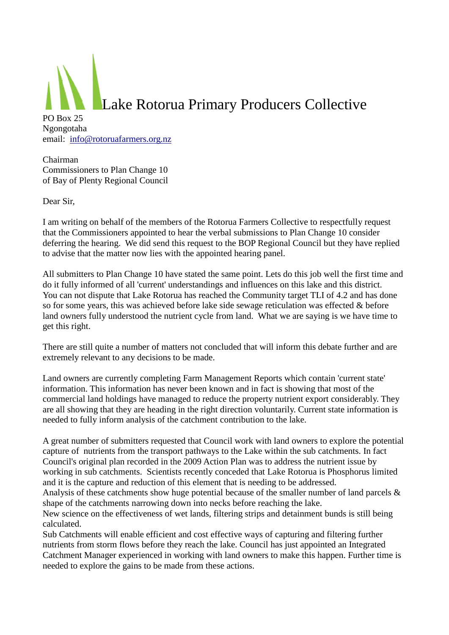

Chairman Commissioners to Plan Change 10 of Bay of Plenty Regional Council

Dear Sir,

I am writing on behalf of the members of the Rotorua Farmers Collective to respectfully request that the Commissioners appointed to hear the verbal submissions to Plan Change 10 consider deferring the hearing. We did send this request to the BOP Regional Council but they have replied to advise that the matter now lies with the appointed hearing panel.

All submitters to Plan Change 10 have stated the same point. Lets do this job well the first time and do it fully informed of all 'current' understandings and influences on this lake and this district. You can not dispute that Lake Rotorua has reached the Community target TLI of 4.2 and has done so for some years, this was achieved before lake side sewage reticulation was effected & before land owners fully understood the nutrient cycle from land. What we are saying is we have time to get this right.

There are still quite a number of matters not concluded that will inform this debate further and are extremely relevant to any decisions to be made.

Land owners are currently completing Farm Management Reports which contain 'current state' information. This information has never been known and in fact is showing that most of the commercial land holdings have managed to reduce the property nutrient export considerably. They are all showing that they are heading in the right direction voluntarily. Current state information is needed to fully inform analysis of the catchment contribution to the lake.

A great number of submitters requested that Council work with land owners to explore the potential capture of nutrients from the transport pathways to the Lake within the sub catchments. In fact Council's original plan recorded in the 2009 Action Plan was to address the nutrient issue by working in sub catchments. Scientists recently conceded that Lake Rotorua is Phosphorus limited and it is the capture and reduction of this element that is needing to be addressed.

Analysis of these catchments show huge potential because of the smaller number of land parcels & shape of the catchments narrowing down into necks before reaching the lake.

New science on the effectiveness of wet lands, filtering strips and detainment bunds is still being calculated.

Sub Catchments will enable efficient and cost effective ways of capturing and filtering further nutrients from storm flows before they reach the lake. Council has just appointed an Integrated Catchment Manager experienced in working with land owners to make this happen. Further time is needed to explore the gains to be made from these actions.